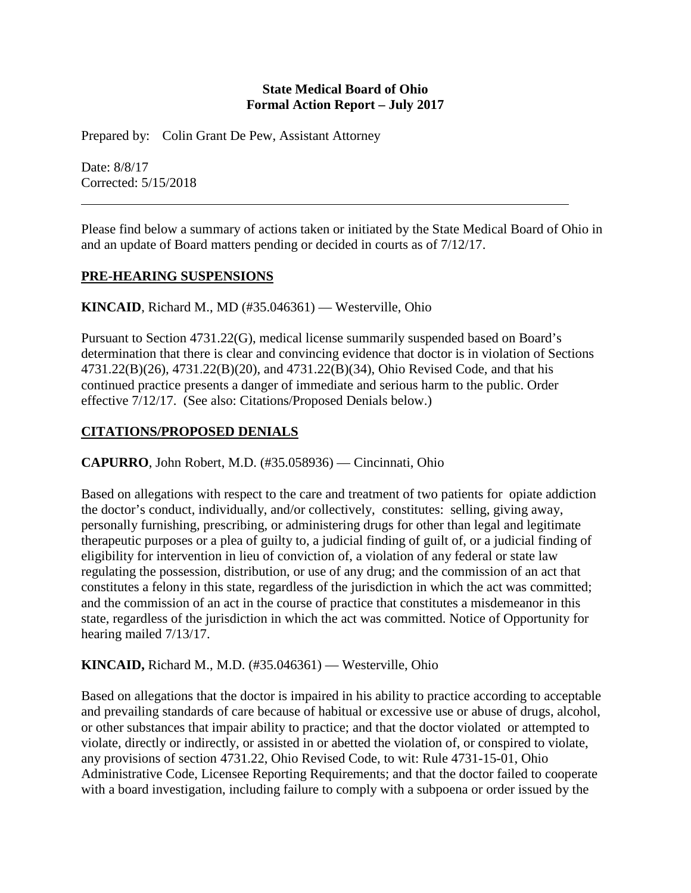### **State Medical Board of Ohio Formal Action Report – July 2017**

Prepared by: Colin Grant De Pew, Assistant Attorney

Date: 8/8/17 Corrected: 5/15/2018

Please find below a summary of actions taken or initiated by the State Medical Board of Ohio in and an update of Board matters pending or decided in courts as of 7/12/17.

### **PRE-HEARING SUSPENSIONS**

**KINCAID**, Richard M., MD (#35.046361) — Westerville, Ohio

Pursuant to Section 4731.22(G), medical license summarily suspended based on Board's determination that there is clear and convincing evidence that doctor is in violation of Sections 4731.22(B)(26), 4731.22(B)(20), and 4731.22(B)(34), Ohio Revised Code, and that his continued practice presents a danger of immediate and serious harm to the public. Order effective 7/12/17. (See also: Citations/Proposed Denials below.)

## **CITATIONS/PROPOSED DENIALS**

**CAPURRO**, John Robert, M.D. (#35.058936) — Cincinnati, Ohio

Based on allegations with respect to the care and treatment of two patients for opiate addiction the doctor's conduct, individually, and/or collectively, constitutes: selling, giving away, personally furnishing, prescribing, or administering drugs for other than legal and legitimate therapeutic purposes or a plea of guilty to, a judicial finding of guilt of, or a judicial finding of eligibility for intervention in lieu of conviction of, a violation of any federal or state law regulating the possession, distribution, or use of any drug; and the commission of an act that constitutes a felony in this state, regardless of the jurisdiction in which the act was committed; and the commission of an act in the course of practice that constitutes a misdemeanor in this state, regardless of the jurisdiction in which the act was committed. Notice of Opportunity for hearing mailed 7/13/17.

#### **KINCAID,** Richard M., M.D. (#35.046361) — Westerville, Ohio

Based on allegations that the doctor is impaired in his ability to practice according to acceptable and prevailing standards of care because of habitual or excessive use or abuse of drugs, alcohol, or other substances that impair ability to practice; and that the doctor violated or attempted to violate, directly or indirectly, or assisted in or abetted the violation of, or conspired to violate, any provisions of section 4731.22, Ohio Revised Code, to wit: Rule 4731-15-01, Ohio Administrative Code, Licensee Reporting Requirements; and that the doctor failed to cooperate with a board investigation, including failure to comply with a subpoena or order issued by the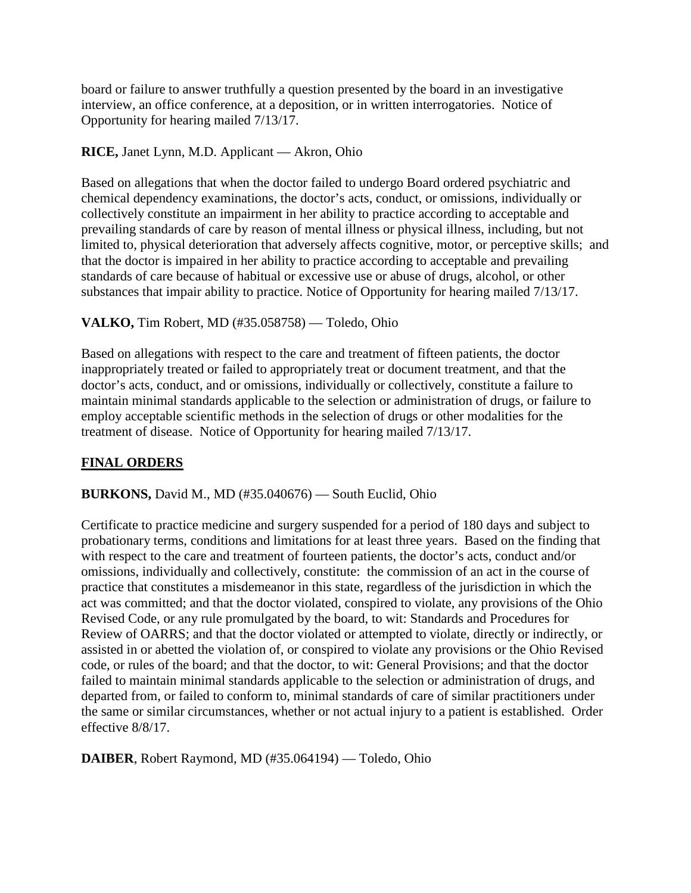board or failure to answer truthfully a question presented by the board in an investigative interview, an office conference, at a deposition, or in written interrogatories. Notice of Opportunity for hearing mailed 7/13/17.

### **RICE,** Janet Lynn, M.D. Applicant — Akron, Ohio

Based on allegations that when the doctor failed to undergo Board ordered psychiatric and chemical dependency examinations, the doctor's acts, conduct, or omissions, individually or collectively constitute an impairment in her ability to practice according to acceptable and prevailing standards of care by reason of mental illness or physical illness, including, but not limited to, physical deterioration that adversely affects cognitive, motor, or perceptive skills; and that the doctor is impaired in her ability to practice according to acceptable and prevailing standards of care because of habitual or excessive use or abuse of drugs, alcohol, or other substances that impair ability to practice. Notice of Opportunity for hearing mailed 7/13/17.

## **VALKO,** Tim Robert, MD (#35.058758) — Toledo, Ohio

Based on allegations with respect to the care and treatment of fifteen patients, the doctor inappropriately treated or failed to appropriately treat or document treatment, and that the doctor's acts, conduct, and or omissions, individually or collectively, constitute a failure to maintain minimal standards applicable to the selection or administration of drugs, or failure to employ acceptable scientific methods in the selection of drugs or other modalities for the treatment of disease. Notice of Opportunity for hearing mailed 7/13/17.

## **FINAL ORDERS**

#### **BURKONS,** David M., MD (#35.040676) — South Euclid, Ohio

Certificate to practice medicine and surgery suspended for a period of 180 days and subject to probationary terms, conditions and limitations for at least three years. Based on the finding that with respect to the care and treatment of fourteen patients, the doctor's acts, conduct and/or omissions, individually and collectively, constitute: the commission of an act in the course of practice that constitutes a misdemeanor in this state, regardless of the jurisdiction in which the act was committed; and that the doctor violated, conspired to violate, any provisions of the Ohio Revised Code, or any rule promulgated by the board, to wit: Standards and Procedures for Review of OARRS; and that the doctor violated or attempted to violate, directly or indirectly, or assisted in or abetted the violation of, or conspired to violate any provisions or the Ohio Revised code, or rules of the board; and that the doctor, to wit: General Provisions; and that the doctor failed to maintain minimal standards applicable to the selection or administration of drugs, and departed from, or failed to conform to, minimal standards of care of similar practitioners under the same or similar circumstances, whether or not actual injury to a patient is established. Order effective 8/8/17.

**DAIBER**, Robert Raymond, MD (#35.064194) — Toledo, Ohio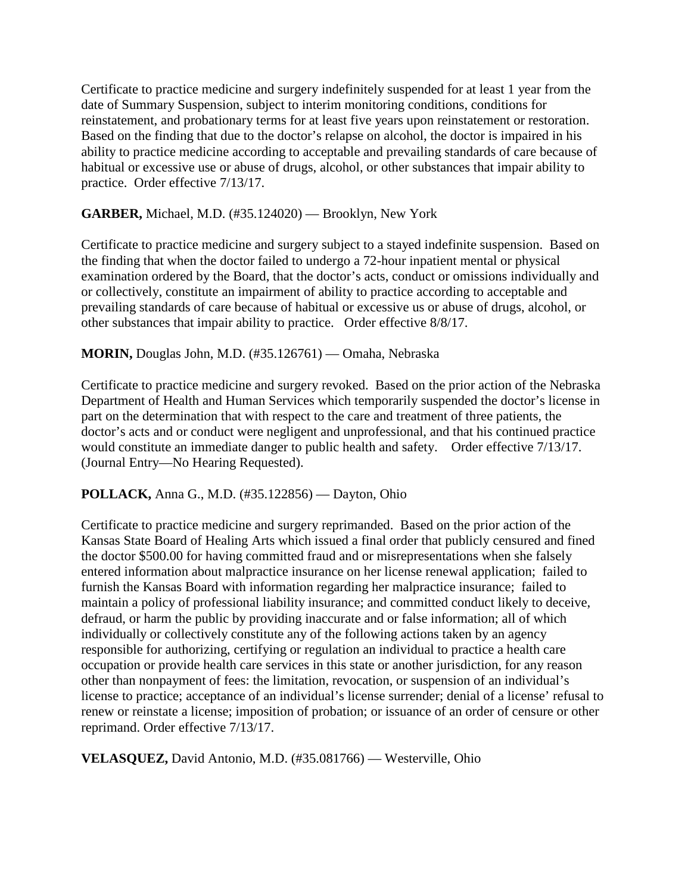Certificate to practice medicine and surgery indefinitely suspended for at least 1 year from the date of Summary Suspension, subject to interim monitoring conditions, conditions for reinstatement, and probationary terms for at least five years upon reinstatement or restoration. Based on the finding that due to the doctor's relapse on alcohol, the doctor is impaired in his ability to practice medicine according to acceptable and prevailing standards of care because of habitual or excessive use or abuse of drugs, alcohol, or other substances that impair ability to practice. Order effective 7/13/17.

### **GARBER,** Michael, M.D. (#35.124020) — Brooklyn, New York

Certificate to practice medicine and surgery subject to a stayed indefinite suspension. Based on the finding that when the doctor failed to undergo a 72-hour inpatient mental or physical examination ordered by the Board, that the doctor's acts, conduct or omissions individually and or collectively, constitute an impairment of ability to practice according to acceptable and prevailing standards of care because of habitual or excessive us or abuse of drugs, alcohol, or other substances that impair ability to practice. Order effective 8/8/17.

### **MORIN,** Douglas John, M.D. (#35.126761) — Omaha, Nebraska

Certificate to practice medicine and surgery revoked. Based on the prior action of the Nebraska Department of Health and Human Services which temporarily suspended the doctor's license in part on the determination that with respect to the care and treatment of three patients, the doctor's acts and or conduct were negligent and unprofessional, and that his continued practice would constitute an immediate danger to public health and safety. Order effective 7/13/17. (Journal Entry—No Hearing Requested).

#### **POLLACK,** Anna G., M.D. (#35.122856) — Dayton, Ohio

Certificate to practice medicine and surgery reprimanded. Based on the prior action of the Kansas State Board of Healing Arts which issued a final order that publicly censured and fined the doctor \$500.00 for having committed fraud and or misrepresentations when she falsely entered information about malpractice insurance on her license renewal application; failed to furnish the Kansas Board with information regarding her malpractice insurance; failed to maintain a policy of professional liability insurance; and committed conduct likely to deceive, defraud, or harm the public by providing inaccurate and or false information; all of which individually or collectively constitute any of the following actions taken by an agency responsible for authorizing, certifying or regulation an individual to practice a health care occupation or provide health care services in this state or another jurisdiction, for any reason other than nonpayment of fees: the limitation, revocation, or suspension of an individual's license to practice; acceptance of an individual's license surrender; denial of a license' refusal to renew or reinstate a license; imposition of probation; or issuance of an order of censure or other reprimand. Order effective 7/13/17.

**VELASQUEZ,** David Antonio, M.D. (#35.081766) — Westerville, Ohio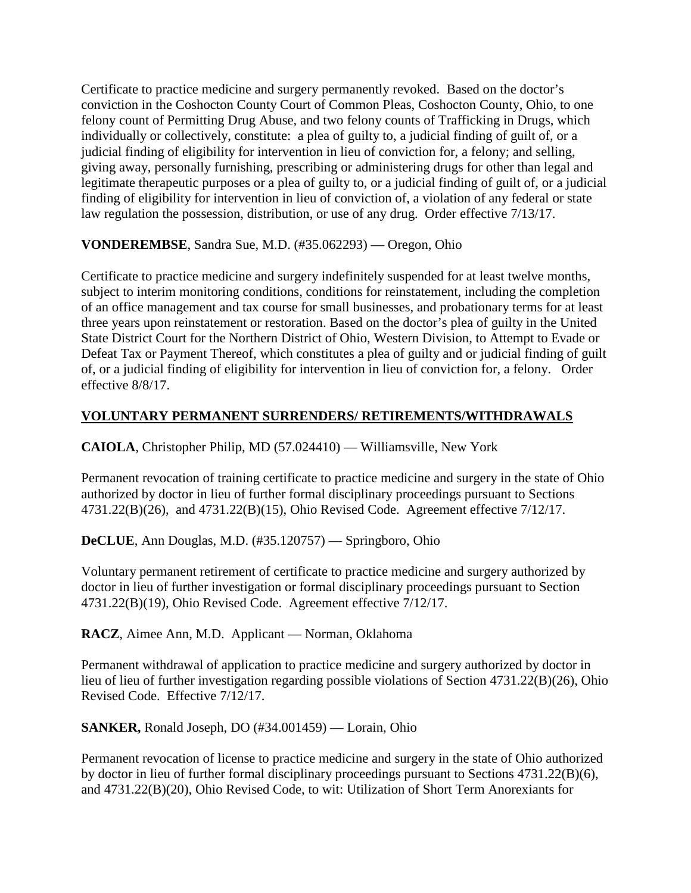Certificate to practice medicine and surgery permanently revoked. Based on the doctor's conviction in the Coshocton County Court of Common Pleas, Coshocton County, Ohio, to one felony count of Permitting Drug Abuse, and two felony counts of Trafficking in Drugs, which individually or collectively, constitute: a plea of guilty to, a judicial finding of guilt of, or a judicial finding of eligibility for intervention in lieu of conviction for, a felony; and selling, giving away, personally furnishing, prescribing or administering drugs for other than legal and legitimate therapeutic purposes or a plea of guilty to, or a judicial finding of guilt of, or a judicial finding of eligibility for intervention in lieu of conviction of, a violation of any federal or state law regulation the possession, distribution, or use of any drug. Order effective 7/13/17.

**VONDEREMBSE**, Sandra Sue, M.D. (#35.062293) — Oregon, Ohio

Certificate to practice medicine and surgery indefinitely suspended for at least twelve months, subject to interim monitoring conditions, conditions for reinstatement, including the completion of an office management and tax course for small businesses, and probationary terms for at least three years upon reinstatement or restoration. Based on the doctor's plea of guilty in the United State District Court for the Northern District of Ohio, Western Division, to Attempt to Evade or Defeat Tax or Payment Thereof, which constitutes a plea of guilty and or judicial finding of guilt of, or a judicial finding of eligibility for intervention in lieu of conviction for, a felony. Order effective 8/8/17.

## **VOLUNTARY PERMANENT SURRENDERS/ RETIREMENTS/WITHDRAWALS**

**CAIOLA**, Christopher Philip, MD (57.024410) — Williamsville, New York

Permanent revocation of training certificate to practice medicine and surgery in the state of Ohio authorized by doctor in lieu of further formal disciplinary proceedings pursuant to Sections 4731.22(B)(26), and 4731.22(B)(15), Ohio Revised Code. Agreement effective 7/12/17.

**DeCLUE**, Ann Douglas, M.D. (#35.120757) — Springboro, Ohio

Voluntary permanent retirement of certificate to practice medicine and surgery authorized by doctor in lieu of further investigation or formal disciplinary proceedings pursuant to Section 4731.22(B)(19), Ohio Revised Code. Agreement effective 7/12/17.

**RACZ**, Aimee Ann, M.D. Applicant — Norman, Oklahoma

Permanent withdrawal of application to practice medicine and surgery authorized by doctor in lieu of lieu of further investigation regarding possible violations of Section 4731.22(B)(26), Ohio Revised Code. Effective 7/12/17.

**SANKER,** Ronald Joseph, DO (#34.001459) — Lorain, Ohio

Permanent revocation of license to practice medicine and surgery in the state of Ohio authorized by doctor in lieu of further formal disciplinary proceedings pursuant to Sections 4731.22(B)(6), and 4731.22(B)(20), Ohio Revised Code, to wit: Utilization of Short Term Anorexiants for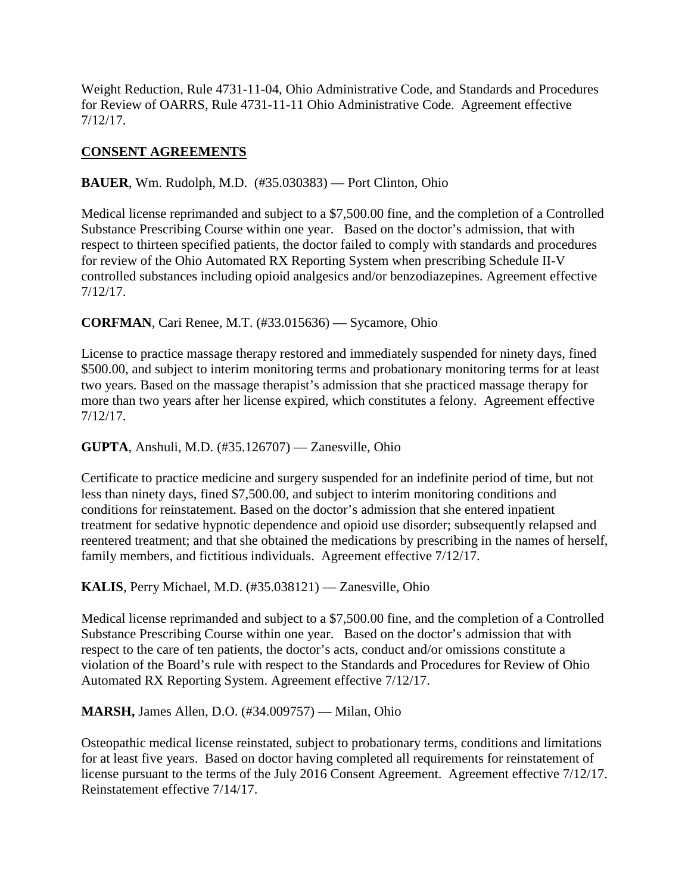Weight Reduction, Rule 4731-11-04, Ohio Administrative Code, and Standards and Procedures for Review of OARRS, Rule 4731-11-11 Ohio Administrative Code. Agreement effective 7/12/17.

# **CONSENT AGREEMENTS**

**BAUER**, Wm. Rudolph, M.D. (#35.030383) — Port Clinton, Ohio

Medical license reprimanded and subject to a \$7,500.00 fine, and the completion of a Controlled Substance Prescribing Course within one year. Based on the doctor's admission, that with respect to thirteen specified patients, the doctor failed to comply with standards and procedures for review of the Ohio Automated RX Reporting System when prescribing Schedule II-V controlled substances including opioid analgesics and/or benzodiazepines. Agreement effective 7/12/17.

**CORFMAN**, Cari Renee, M.T. (#33.015636) — Sycamore, Ohio

License to practice massage therapy restored and immediately suspended for ninety days, fined \$500.00, and subject to interim monitoring terms and probationary monitoring terms for at least two years. Based on the massage therapist's admission that she practiced massage therapy for more than two years after her license expired, which constitutes a felony. Agreement effective 7/12/17.

## **GUPTA**, Anshuli, M.D. (#35.126707) — Zanesville, Ohio

Certificate to practice medicine and surgery suspended for an indefinite period of time, but not less than ninety days, fined \$7,500.00, and subject to interim monitoring conditions and conditions for reinstatement. Based on the doctor's admission that she entered inpatient treatment for sedative hypnotic dependence and opioid use disorder; subsequently relapsed and reentered treatment; and that she obtained the medications by prescribing in the names of herself, family members, and fictitious individuals. Agreement effective 7/12/17.

**KALIS**, Perry Michael, M.D. (#35.038121) — Zanesville, Ohio

Medical license reprimanded and subject to a \$7,500.00 fine, and the completion of a Controlled Substance Prescribing Course within one year. Based on the doctor's admission that with respect to the care of ten patients, the doctor's acts, conduct and/or omissions constitute a violation of the Board's rule with respect to the Standards and Procedures for Review of Ohio Automated RX Reporting System. Agreement effective 7/12/17.

**MARSH,** James Allen, D.O. (#34.009757) — Milan, Ohio

Osteopathic medical license reinstated, subject to probationary terms, conditions and limitations for at least five years. Based on doctor having completed all requirements for reinstatement of license pursuant to the terms of the July 2016 Consent Agreement. Agreement effective 7/12/17. Reinstatement effective 7/14/17.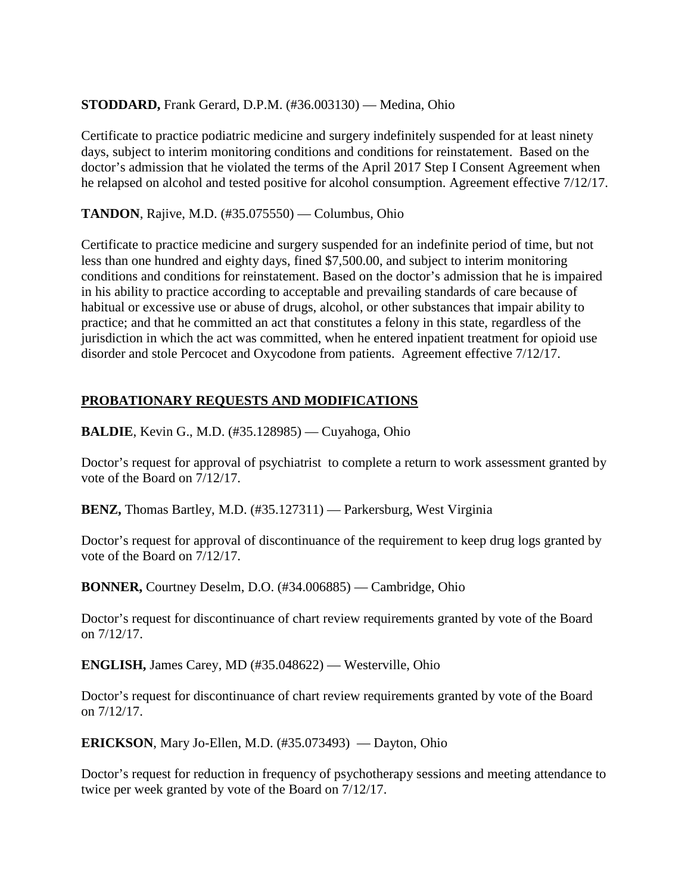# **STODDARD,** Frank Gerard, D.P.M. (#36.003130) — Medina, Ohio

Certificate to practice podiatric medicine and surgery indefinitely suspended for at least ninety days, subject to interim monitoring conditions and conditions for reinstatement. Based on the doctor's admission that he violated the terms of the April 2017 Step I Consent Agreement when he relapsed on alcohol and tested positive for alcohol consumption. Agreement effective 7/12/17.

**TANDON**, Rajive, M.D. (#35.075550) — Columbus, Ohio

Certificate to practice medicine and surgery suspended for an indefinite period of time, but not less than one hundred and eighty days, fined \$7,500.00, and subject to interim monitoring conditions and conditions for reinstatement. Based on the doctor's admission that he is impaired in his ability to practice according to acceptable and prevailing standards of care because of habitual or excessive use or abuse of drugs, alcohol, or other substances that impair ability to practice; and that he committed an act that constitutes a felony in this state, regardless of the jurisdiction in which the act was committed, when he entered inpatient treatment for opioid use disorder and stole Percocet and Oxycodone from patients. Agreement effective 7/12/17.

# **PROBATIONARY REQUESTS AND MODIFICATIONS**

**BALDIE**, Kevin G., M.D. (#35.128985) — Cuyahoga, Ohio

Doctor's request for approval of psychiatrist to complete a return to work assessment granted by vote of the Board on 7/12/17.

**BENZ,** Thomas Bartley, M.D. (#35.127311) — Parkersburg, West Virginia

Doctor's request for approval of discontinuance of the requirement to keep drug logs granted by vote of the Board on 7/12/17.

**BONNER,** Courtney Deselm, D.O. (#34.006885) — Cambridge, Ohio

Doctor's request for discontinuance of chart review requirements granted by vote of the Board on 7/12/17.

**ENGLISH,** James Carey, MD (#35.048622) — Westerville, Ohio

Doctor's request for discontinuance of chart review requirements granted by vote of the Board on 7/12/17.

**ERICKSON**, Mary Jo-Ellen, M.D. (#35.073493) — Dayton, Ohio

Doctor's request for reduction in frequency of psychotherapy sessions and meeting attendance to twice per week granted by vote of the Board on 7/12/17.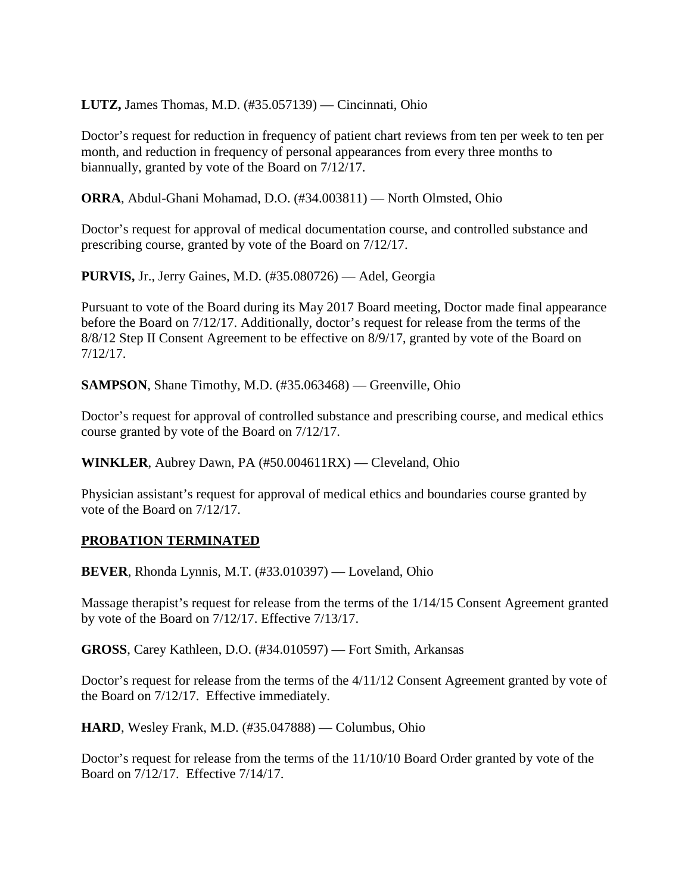**LUTZ,** James Thomas, M.D. (#35.057139) — Cincinnati, Ohio

Doctor's request for reduction in frequency of patient chart reviews from ten per week to ten per month, and reduction in frequency of personal appearances from every three months to biannually, granted by vote of the Board on 7/12/17.

**ORRA**, Abdul-Ghani Mohamad, D.O. (#34.003811) — North Olmsted, Ohio

Doctor's request for approval of medical documentation course, and controlled substance and prescribing course, granted by vote of the Board on 7/12/17.

**PURVIS,** Jr., Jerry Gaines, M.D. (#35.080726) — Adel, Georgia

Pursuant to vote of the Board during its May 2017 Board meeting, Doctor made final appearance before the Board on 7/12/17. Additionally, doctor's request for release from the terms of the 8/8/12 Step II Consent Agreement to be effective on 8/9/17, granted by vote of the Board on 7/12/17.

**SAMPSON**, Shane Timothy, M.D. (#35.063468) — Greenville, Ohio

Doctor's request for approval of controlled substance and prescribing course, and medical ethics course granted by vote of the Board on 7/12/17.

**WINKLER**, Aubrey Dawn, PA (#50.004611RX) — Cleveland, Ohio

Physician assistant's request for approval of medical ethics and boundaries course granted by vote of the Board on 7/12/17.

## **PROBATION TERMINATED**

**BEVER**, Rhonda Lynnis, M.T. (#33.010397) — Loveland, Ohio

Massage therapist's request for release from the terms of the 1/14/15 Consent Agreement granted by vote of the Board on 7/12/17. Effective 7/13/17.

**GROSS**, Carey Kathleen, D.O. (#34.010597) — Fort Smith, Arkansas

Doctor's request for release from the terms of the 4/11/12 Consent Agreement granted by vote of the Board on 7/12/17. Effective immediately.

**HARD**, Wesley Frank, M.D. (#35.047888) — Columbus, Ohio

Doctor's request for release from the terms of the 11/10/10 Board Order granted by vote of the Board on 7/12/17. Effective 7/14/17.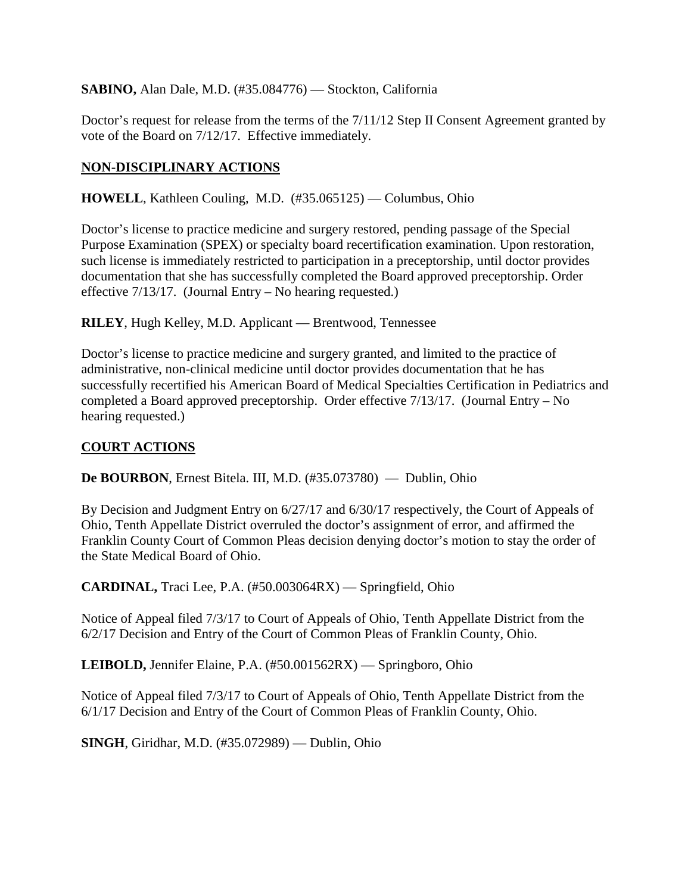**SABINO,** Alan Dale, M.D. (#35.084776) — Stockton, California

Doctor's request for release from the terms of the 7/11/12 Step II Consent Agreement granted by vote of the Board on 7/12/17. Effective immediately.

# **NON-DISCIPLINARY ACTIONS**

**HOWELL**, Kathleen Couling, M.D. (#35.065125) — Columbus, Ohio

Doctor's license to practice medicine and surgery restored, pending passage of the Special Purpose Examination (SPEX) or specialty board recertification examination. Upon restoration, such license is immediately restricted to participation in a preceptorship, until doctor provides documentation that she has successfully completed the Board approved preceptorship. Order effective 7/13/17. (Journal Entry – No hearing requested.)

**RILEY**, Hugh Kelley, M.D. Applicant — Brentwood, Tennessee

Doctor's license to practice medicine and surgery granted, and limited to the practice of administrative, non-clinical medicine until doctor provides documentation that he has successfully recertified his American Board of Medical Specialties Certification in Pediatrics and completed a Board approved preceptorship. Order effective 7/13/17. (Journal Entry – No hearing requested.)

# **COURT ACTIONS**

**De BOURBON**, Ernest Bitela. III, M.D. (#35.073780) — Dublin, Ohio

By Decision and Judgment Entry on 6/27/17 and 6/30/17 respectively, the Court of Appeals of Ohio, Tenth Appellate District overruled the doctor's assignment of error, and affirmed the Franklin County Court of Common Pleas decision denying doctor's motion to stay the order of the State Medical Board of Ohio.

**CARDINAL,** Traci Lee, P.A. (#50.003064RX) — Springfield, Ohio

Notice of Appeal filed 7/3/17 to Court of Appeals of Ohio, Tenth Appellate District from the 6/2/17 Decision and Entry of the Court of Common Pleas of Franklin County, Ohio.

**LEIBOLD,** Jennifer Elaine, P.A. (#50.001562RX) — Springboro, Ohio

Notice of Appeal filed 7/3/17 to Court of Appeals of Ohio, Tenth Appellate District from the 6/1/17 Decision and Entry of the Court of Common Pleas of Franklin County, Ohio.

**SINGH**, Giridhar, M.D. (#35.072989) — Dublin, Ohio